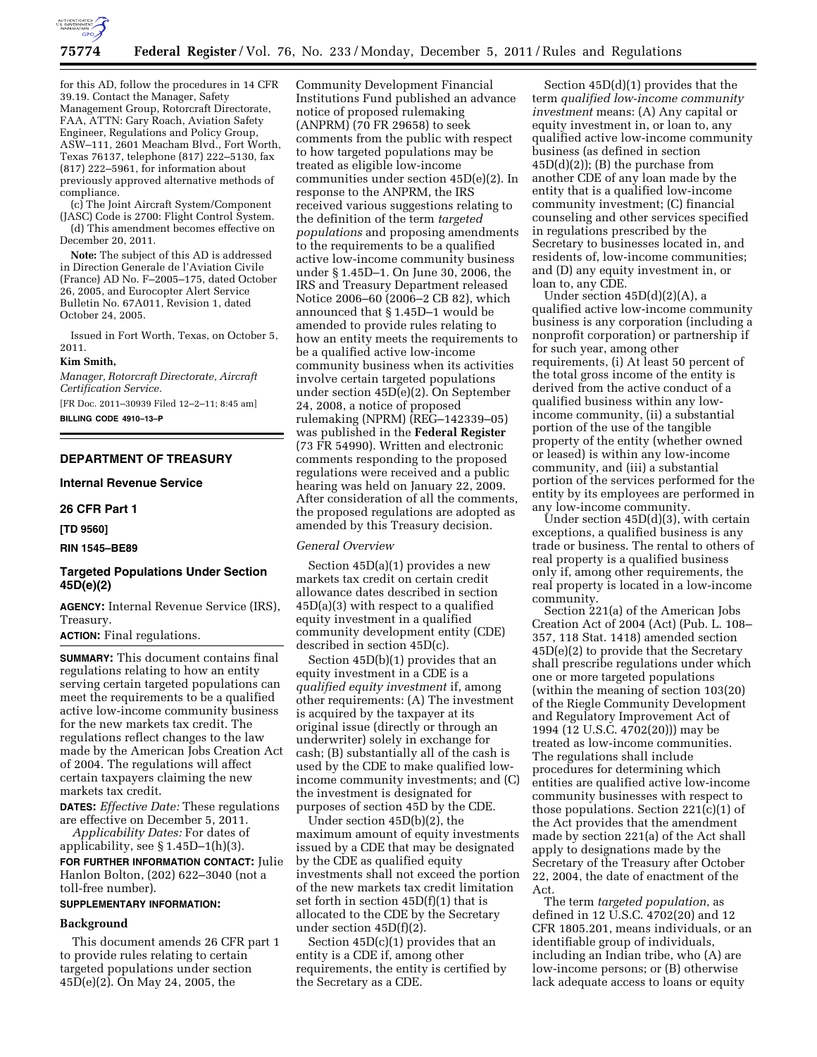

for this AD, follow the procedures in 14 CFR 39.19. Contact the Manager, Safety Management Group, Rotorcraft Directorate, FAA, ATTN: Gary Roach, Aviation Safety Engineer, Regulations and Policy Group, ASW–111, 2601 Meacham Blvd., Fort Worth, Texas 76137, telephone (817) 222–5130, fax (817) 222–5961, for information about previously approved alternative methods of compliance.

(c) The Joint Aircraft System/Component (JASC) Code is 2700: Flight Control System. (d) This amendment becomes effective on

December 20, 2011.

**Note:** The subject of this AD is addressed in Direction Generale de l'Aviation Civile (France) AD No. F–2005–175, dated October 26, 2005, and Eurocopter Alert Service Bulletin No. 67A011, Revision 1, dated October 24, 2005.

Issued in Fort Worth, Texas, on October 5, 2011.

#### **Kim Smith,**

*Manager, Rotorcraft Directorate, Aircraft Certification Service.* 

[FR Doc. 2011–30939 Filed 12–2–11; 8:45 am] **BILLING CODE 4910–13–P** 

# **DEPARTMENT OF TREASURY**

# **Internal Revenue Service**

**26 CFR Part 1** 

**[TD 9560]** 

#### **RIN 1545–BE89**

# **Targeted Populations Under Section 45D(e)(2)**

**AGENCY:** Internal Revenue Service (IRS), Treasury.

# **ACTION:** Final regulations.

**SUMMARY:** This document contains final regulations relating to how an entity serving certain targeted populations can meet the requirements to be a qualified active low-income community business for the new markets tax credit. The regulations reflect changes to the law made by the American Jobs Creation Act of 2004. The regulations will affect certain taxpayers claiming the new markets tax credit.

**DATES:** *Effective Date:* These regulations are effective on December 5, 2011.

*Applicability Dates:* For dates of applicability, see § 1.45D–1(h)(3).

**FOR FURTHER INFORMATION CONTACT:** Julie Hanlon Bolton, (202) 622–3040 (not a toll-free number).

### **SUPPLEMENTARY INFORMATION:**

### **Background**

This document amends 26 CFR part 1 to provide rules relating to certain targeted populations under section 45D(e)(2). On May 24, 2005, the

Community Development Financial Institutions Fund published an advance notice of proposed rulemaking (ANPRM) (70 FR 29658) to seek comments from the public with respect to how targeted populations may be treated as eligible low-income communities under section 45D(e)(2). In response to the ANPRM, the IRS received various suggestions relating to the definition of the term *targeted populations* and proposing amendments to the requirements to be a qualified active low-income community business under § 1.45D–1. On June 30, 2006, the IRS and Treasury Department released Notice 2006–60 (2006–2 CB 82), which announced that § 1.45D–1 would be amended to provide rules relating to how an entity meets the requirements to be a qualified active low-income community business when its activities involve certain targeted populations under section 45D(e)(2). On September 24, 2008, a notice of proposed rulemaking (NPRM) (REG–142339–05) was published in the **Federal Register**  (73 FR 54990). Written and electronic comments responding to the proposed regulations were received and a public hearing was held on January 22, 2009. After consideration of all the comments, the proposed regulations are adopted as amended by this Treasury decision.

### *General Overview*

Section 45D(a)(1) provides a new markets tax credit on certain credit allowance dates described in section 45D(a)(3) with respect to a qualified equity investment in a qualified community development entity (CDE) described in section 45D(c).

Section 45D(b)(1) provides that an equity investment in a CDE is a *qualified equity investment* if, among other requirements: (A) The investment is acquired by the taxpayer at its original issue (directly or through an underwriter) solely in exchange for cash; (B) substantially all of the cash is used by the CDE to make qualified lowincome community investments; and (C) the investment is designated for purposes of section 45D by the CDE.

Under section 45D(b)(2), the maximum amount of equity investments issued by a CDE that may be designated by the CDE as qualified equity investments shall not exceed the portion of the new markets tax credit limitation set forth in section 45D(f)(1) that is allocated to the CDE by the Secretary under section 45D(f)(2).

Section 45D(c)(1) provides that an entity is a CDE if, among other requirements, the entity is certified by the Secretary as a CDE.

Section 45D(d)(1) provides that the term *qualified low-income community investment* means: (A) Any capital or equity investment in, or loan to, any qualified active low-income community business (as defined in section  $45D(d)(2)$ ; (B) the purchase from another CDE of any loan made by the entity that is a qualified low-income community investment; (C) financial counseling and other services specified in regulations prescribed by the Secretary to businesses located in, and residents of, low-income communities; and (D) any equity investment in, or loan to, any CDE.

Under section  $45D(d)(2)(A)$ , a qualified active low-income community business is any corporation (including a nonprofit corporation) or partnership if for such year, among other requirements, (i) At least 50 percent of the total gross income of the entity is derived from the active conduct of a qualified business within any lowincome community, (ii) a substantial portion of the use of the tangible property of the entity (whether owned or leased) is within any low-income community, and (iii) a substantial portion of the services performed for the entity by its employees are performed in any low-income community.

Under section 45D(d)(3), with certain exceptions, a qualified business is any trade or business. The rental to others of real property is a qualified business only if, among other requirements, the real property is located in a low-income community.

Section 221(a) of the American Jobs Creation Act of 2004 (Act) (Pub. L. 108– 357, 118 Stat. 1418) amended section 45D(e)(2) to provide that the Secretary shall prescribe regulations under which one or more targeted populations (within the meaning of section 103(20) of the Riegle Community Development and Regulatory Improvement Act of 1994 (12 U.S.C. 4702(20))) may be treated as low-income communities. The regulations shall include procedures for determining which entities are qualified active low-income community businesses with respect to those populations. Section 221(c)(1) of the Act provides that the amendment made by section 221(a) of the Act shall apply to designations made by the Secretary of the Treasury after October 22, 2004, the date of enactment of the Act.

The term *targeted population,* as defined in 12 U.S.C. 4702(20) and 12 CFR 1805.201, means individuals, or an identifiable group of individuals, including an Indian tribe, who (A) are low-income persons; or (B) otherwise lack adequate access to loans or equity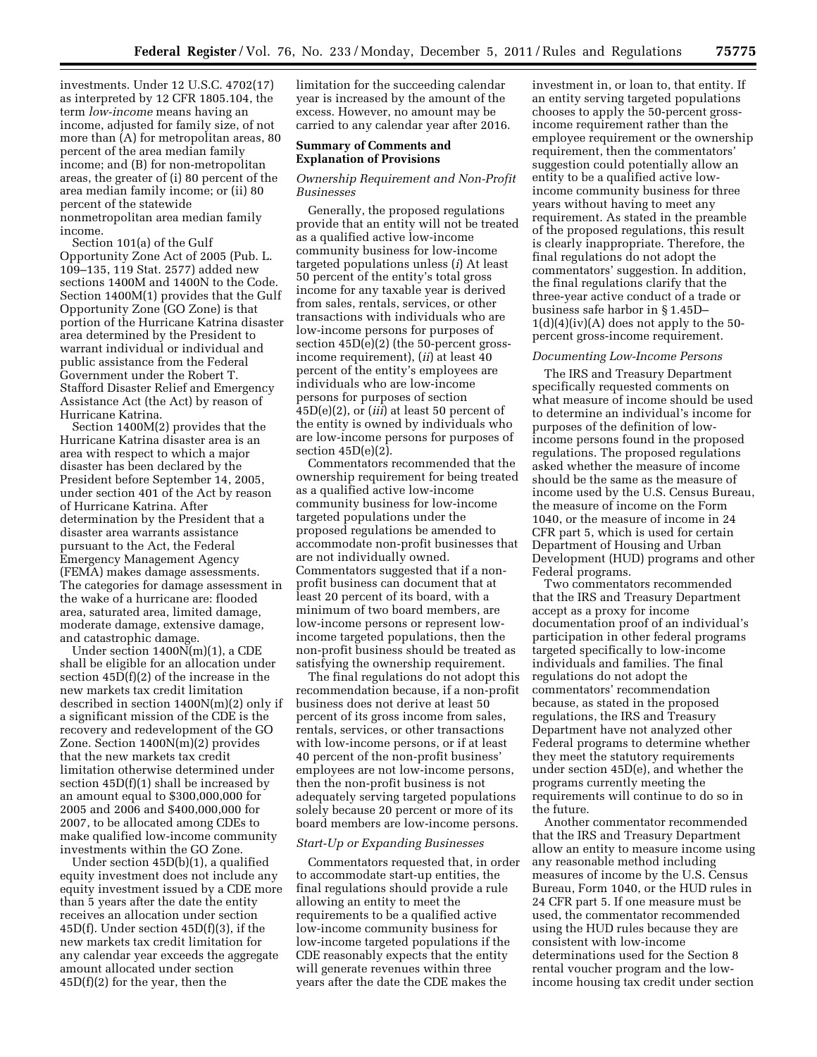investments. Under 12 U.S.C. 4702(17) as interpreted by 12 CFR 1805.104, the term *low-income* means having an income, adjusted for family size, of not more than (A) for metropolitan areas, 80 percent of the area median family income; and (B) for non-metropolitan areas, the greater of (i) 80 percent of the area median family income; or (ii) 80 percent of the statewide nonmetropolitan area median family income.

Section 101(a) of the Gulf Opportunity Zone Act of 2005 (Pub. L. 109–135, 119 Stat. 2577) added new sections 1400M and 1400N to the Code. Section 1400M(1) provides that the Gulf Opportunity Zone (GO Zone) is that portion of the Hurricane Katrina disaster area determined by the President to warrant individual or individual and public assistance from the Federal Government under the Robert T. Stafford Disaster Relief and Emergency Assistance Act (the Act) by reason of Hurricane Katrina.

Section 1400M(2) provides that the Hurricane Katrina disaster area is an area with respect to which a major disaster has been declared by the President before September 14, 2005, under section 401 of the Act by reason of Hurricane Katrina. After determination by the President that a disaster area warrants assistance pursuant to the Act, the Federal Emergency Management Agency (FEMA) makes damage assessments. The categories for damage assessment in the wake of a hurricane are: flooded area, saturated area, limited damage, moderate damage, extensive damage, and catastrophic damage.

Under section 1400N(m)(1), a CDE shall be eligible for an allocation under section 45D(f)(2) of the increase in the new markets tax credit limitation described in section 1400N(m)(2) only if a significant mission of the CDE is the recovery and redevelopment of the GO Zone. Section 1400N(m)(2) provides that the new markets tax credit limitation otherwise determined under section  $45D(f)(1)$  shall be increased by an amount equal to \$300,000,000 for 2005 and 2006 and \$400,000,000 for 2007, to be allocated among CDEs to make qualified low-income community investments within the GO Zone.

Under section 45D(b)(1), a qualified equity investment does not include any equity investment issued by a CDE more than 5 years after the date the entity receives an allocation under section  $45D(f)$ . Under section  $45D(f)(3)$ , if the new markets tax credit limitation for any calendar year exceeds the aggregate amount allocated under section 45D(f)(2) for the year, then the

limitation for the succeeding calendar year is increased by the amount of the excess. However, no amount may be carried to any calendar year after 2016.

# **Summary of Comments and Explanation of Provisions**

## *Ownership Requirement and Non-Profit Businesses*

Generally, the proposed regulations provide that an entity will not be treated as a qualified active low-income community business for low-income targeted populations unless (*i*) At least 50 percent of the entity's total gross income for any taxable year is derived from sales, rentals, services, or other transactions with individuals who are low-income persons for purposes of section 45D(e)(2) (the 50-percent grossincome requirement), (*ii*) at least 40 percent of the entity's employees are individuals who are low-income persons for purposes of section 45D(e)(2), or (*iii*) at least 50 percent of the entity is owned by individuals who are low-income persons for purposes of section  $45D(e)(2)$ .

Commentators recommended that the ownership requirement for being treated as a qualified active low-income community business for low-income targeted populations under the proposed regulations be amended to accommodate non-profit businesses that are not individually owned. Commentators suggested that if a nonprofit business can document that at least 20 percent of its board, with a minimum of two board members, are low-income persons or represent lowincome targeted populations, then the non-profit business should be treated as satisfying the ownership requirement.

The final regulations do not adopt this recommendation because, if a non-profit business does not derive at least 50 percent of its gross income from sales, rentals, services, or other transactions with low-income persons, or if at least 40 percent of the non-profit business' employees are not low-income persons, then the non-profit business is not adequately serving targeted populations solely because 20 percent or more of its board members are low-income persons.

#### *Start-Up or Expanding Businesses*

Commentators requested that, in order to accommodate start-up entities, the final regulations should provide a rule allowing an entity to meet the requirements to be a qualified active low-income community business for low-income targeted populations if the CDE reasonably expects that the entity will generate revenues within three years after the date the CDE makes the

investment in, or loan to, that entity. If an entity serving targeted populations chooses to apply the 50-percent grossincome requirement rather than the employee requirement or the ownership requirement, then the commentators' suggestion could potentially allow an entity to be a qualified active lowincome community business for three years without having to meet any requirement. As stated in the preamble of the proposed regulations, this result is clearly inappropriate. Therefore, the final regulations do not adopt the commentators' suggestion. In addition, the final regulations clarify that the three-year active conduct of a trade or business safe harbor in § 1.45D–  $1(d)(4)(iv)(A)$  does not apply to the 50percent gross-income requirement.

#### *Documenting Low-Income Persons*

The IRS and Treasury Department specifically requested comments on what measure of income should be used to determine an individual's income for purposes of the definition of lowincome persons found in the proposed regulations. The proposed regulations asked whether the measure of income should be the same as the measure of income used by the U.S. Census Bureau, the measure of income on the Form 1040, or the measure of income in 24 CFR part 5, which is used for certain Department of Housing and Urban Development (HUD) programs and other Federal programs.

Two commentators recommended that the IRS and Treasury Department accept as a proxy for income documentation proof of an individual's participation in other federal programs targeted specifically to low-income individuals and families. The final regulations do not adopt the commentators' recommendation because, as stated in the proposed regulations, the IRS and Treasury Department have not analyzed other Federal programs to determine whether they meet the statutory requirements under section 45D(e), and whether the programs currently meeting the requirements will continue to do so in the future.

Another commentator recommended that the IRS and Treasury Department allow an entity to measure income using any reasonable method including measures of income by the U.S. Census Bureau, Form 1040, or the HUD rules in 24 CFR part 5. If one measure must be used, the commentator recommended using the HUD rules because they are consistent with low-income determinations used for the Section 8 rental voucher program and the lowincome housing tax credit under section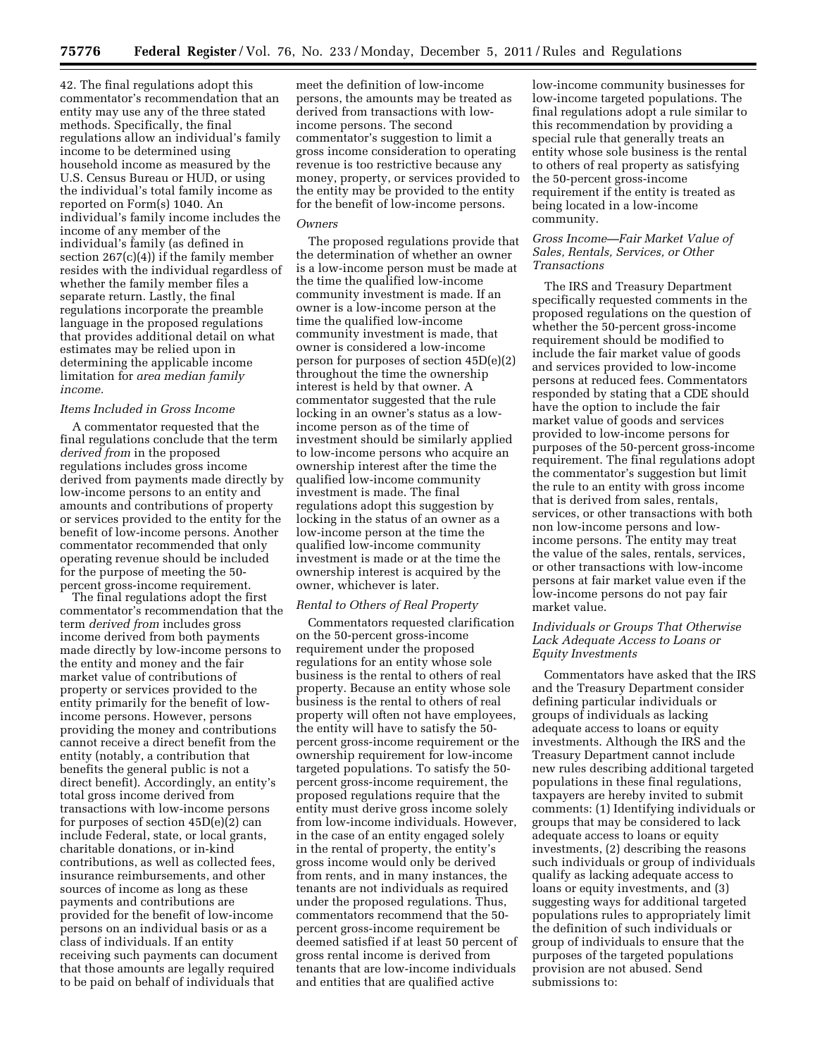42. The final regulations adopt this commentator's recommendation that an entity may use any of the three stated methods. Specifically, the final regulations allow an individual's family income to be determined using household income as measured by the U.S. Census Bureau or HUD, or using the individual's total family income as reported on Form(s) 1040. An individual's family income includes the income of any member of the individual's family (as defined in section 267(c)(4)) if the family member resides with the individual regardless of whether the family member files a separate return. Lastly, the final regulations incorporate the preamble language in the proposed regulations that provides additional detail on what estimates may be relied upon in determining the applicable income limitation for *area median family income.* 

# *Items Included in Gross Income*

A commentator requested that the final regulations conclude that the term *derived from* in the proposed regulations includes gross income derived from payments made directly by low-income persons to an entity and amounts and contributions of property or services provided to the entity for the benefit of low-income persons. Another commentator recommended that only operating revenue should be included for the purpose of meeting the 50 percent gross-income requirement.

The final regulations adopt the first commentator's recommendation that the term *derived from* includes gross income derived from both payments made directly by low-income persons to the entity and money and the fair market value of contributions of property or services provided to the entity primarily for the benefit of lowincome persons. However, persons providing the money and contributions cannot receive a direct benefit from the entity (notably, a contribution that benefits the general public is not a direct benefit). Accordingly, an entity's total gross income derived from transactions with low-income persons for purposes of section 45D(e)(2) can include Federal, state, or local grants, charitable donations, or in-kind contributions, as well as collected fees, insurance reimbursements, and other sources of income as long as these payments and contributions are provided for the benefit of low-income persons on an individual basis or as a class of individuals. If an entity receiving such payments can document that those amounts are legally required to be paid on behalf of individuals that

meet the definition of low-income persons, the amounts may be treated as derived from transactions with lowincome persons. The second commentator's suggestion to limit a gross income consideration to operating revenue is too restrictive because any money, property, or services provided to the entity may be provided to the entity for the benefit of low-income persons.

# *Owners*

The proposed regulations provide that the determination of whether an owner is a low-income person must be made at the time the qualified low-income community investment is made. If an owner is a low-income person at the time the qualified low-income community investment is made, that owner is considered a low-income person for purposes of section 45D(e)(2) throughout the time the ownership interest is held by that owner. A commentator suggested that the rule locking in an owner's status as a lowincome person as of the time of investment should be similarly applied to low-income persons who acquire an ownership interest after the time the qualified low-income community investment is made. The final regulations adopt this suggestion by locking in the status of an owner as a low-income person at the time the qualified low-income community investment is made or at the time the ownership interest is acquired by the owner, whichever is later.

#### *Rental to Others of Real Property*

Commentators requested clarification on the 50-percent gross-income requirement under the proposed regulations for an entity whose sole business is the rental to others of real property. Because an entity whose sole business is the rental to others of real property will often not have employees, the entity will have to satisfy the 50 percent gross-income requirement or the ownership requirement for low-income targeted populations. To satisfy the 50 percent gross-income requirement, the proposed regulations require that the entity must derive gross income solely from low-income individuals. However, in the case of an entity engaged solely in the rental of property, the entity's gross income would only be derived from rents, and in many instances, the tenants are not individuals as required under the proposed regulations. Thus, commentators recommend that the 50 percent gross-income requirement be deemed satisfied if at least 50 percent of gross rental income is derived from tenants that are low-income individuals and entities that are qualified active

low-income community businesses for low-income targeted populations. The final regulations adopt a rule similar to this recommendation by providing a special rule that generally treats an entity whose sole business is the rental to others of real property as satisfying the 50-percent gross-income requirement if the entity is treated as being located in a low-income community.

## *Gross Income—Fair Market Value of Sales, Rentals, Services, or Other Transactions*

The IRS and Treasury Department specifically requested comments in the proposed regulations on the question of whether the 50-percent gross-income requirement should be modified to include the fair market value of goods and services provided to low-income persons at reduced fees. Commentators responded by stating that a CDE should have the option to include the fair market value of goods and services provided to low-income persons for purposes of the 50-percent gross-income requirement. The final regulations adopt the commentator's suggestion but limit the rule to an entity with gross income that is derived from sales, rentals, services, or other transactions with both non low-income persons and lowincome persons. The entity may treat the value of the sales, rentals, services, or other transactions with low-income persons at fair market value even if the low-income persons do not pay fair market value.

# *Individuals or Groups That Otherwise Lack Adequate Access to Loans or Equity Investments*

Commentators have asked that the IRS and the Treasury Department consider defining particular individuals or groups of individuals as lacking adequate access to loans or equity investments. Although the IRS and the Treasury Department cannot include new rules describing additional targeted populations in these final regulations, taxpayers are hereby invited to submit comments: (1) Identifying individuals or groups that may be considered to lack adequate access to loans or equity investments, (2) describing the reasons such individuals or group of individuals qualify as lacking adequate access to loans or equity investments, and (3) suggesting ways for additional targeted populations rules to appropriately limit the definition of such individuals or group of individuals to ensure that the purposes of the targeted populations provision are not abused. Send submissions to: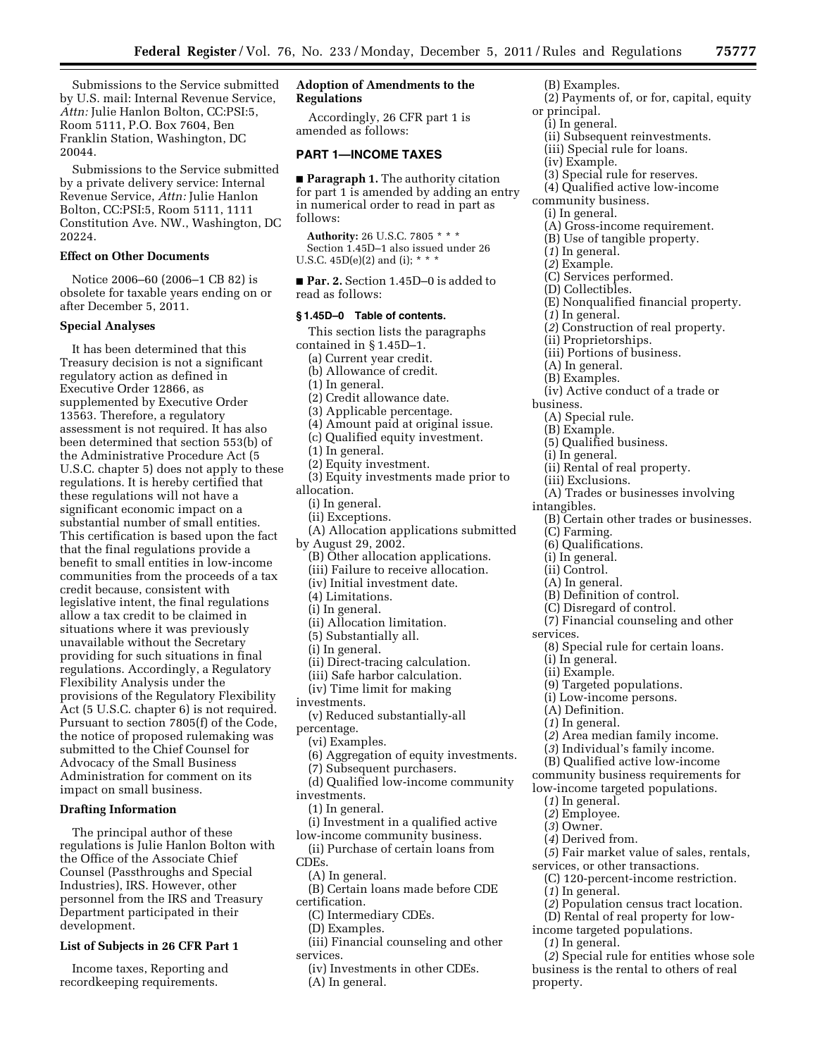Submissions to the Service submitted by U.S. mail: Internal Revenue Service, *Attn:* Julie Hanlon Bolton, CC:PSI:5, Room 5111, P.O. Box 7604, Ben Franklin Station, Washington, DC 20044.

Submissions to the Service submitted by a private delivery service: Internal Revenue Service, *Attn:* Julie Hanlon Bolton, CC:PSI:5, Room 5111, 1111 Constitution Ave. NW., Washington, DC 20224.

# **Effect on Other Documents**

Notice 2006–60 (2006–1 CB 82) is obsolete for taxable years ending on or after December 5, 2011.

#### **Special Analyses**

It has been determined that this Treasury decision is not a significant regulatory action as defined in Executive Order 12866, as supplemented by Executive Order 13563. Therefore, a regulatory assessment is not required. It has also been determined that section 553(b) of the Administrative Procedure Act (5 U.S.C. chapter 5) does not apply to these regulations. It is hereby certified that these regulations will not have a significant economic impact on a substantial number of small entities. This certification is based upon the fact that the final regulations provide a benefit to small entities in low-income communities from the proceeds of a tax credit because, consistent with legislative intent, the final regulations allow a tax credit to be claimed in situations where it was previously unavailable without the Secretary providing for such situations in final regulations. Accordingly, a Regulatory Flexibility Analysis under the provisions of the Regulatory Flexibility Act (5 U.S.C. chapter 6) is not required. Pursuant to section 7805(f) of the Code, the notice of proposed rulemaking was submitted to the Chief Counsel for Advocacy of the Small Business Administration for comment on its impact on small business.

# **Drafting Information**

The principal author of these regulations is Julie Hanlon Bolton with the Office of the Associate Chief Counsel (Passthroughs and Special Industries), IRS. However, other personnel from the IRS and Treasury Department participated in their development.

## **List of Subjects in 26 CFR Part 1**

Income taxes, Reporting and recordkeeping requirements.

# **Adoption of Amendments to the Regulations**

Accordingly, 26 CFR part 1 is amended as follows:

# **PART 1—INCOME TAXES**

■ **Paragraph 1.** The authority citation for part 1 is amended by adding an entry in numerical order to read in part as follows:

**Authority:** 26 U.S.C. 7805 \* \* \* Section 1.45D–1 also issued under 26 U.S.C.  $45D(e)(2)$  and (i); \* \*

■ **Par. 2.** Section 1.45D–0 is added to read as follows:

## **§ 1.45D–0 Table of contents.**

This section lists the paragraphs contained in § 1.45D–1. (a) Current year credit. (b) Allowance of credit. (1) In general. (2) Credit allowance date. (3) Applicable percentage. (4) Amount paid at original issue. (c) Qualified equity investment. (1) In general. (2) Equity investment. (3) Equity investments made prior to allocation. (i) In general. (ii) Exceptions. (A) Allocation applications submitted by August 29, 2002. (B) Other allocation applications. (iii) Failure to receive allocation. (iv) Initial investment date. (4) Limitations. (i) In general. (ii) Allocation limitation.

(5) Substantially all.

(i) In general.

(ii) Direct-tracing calculation.

(iii) Safe harbor calculation.

- (iv) Time limit for making
- investments.

(v) Reduced substantially-all

- percentage.
- (vi) Examples.
- (6) Aggregation of equity investments.
- (7) Subsequent purchasers.

(d) Qualified low-income community investments.

- (1) In general.
- (i) Investment in a qualified active

low-income community business. (ii) Purchase of certain loans from CDEs.

- (A) In general.
- (B) Certain loans made before CDE certification.
	- (C) Intermediary CDEs.
	- (D) Examples.
- (iii) Financial counseling and other services.
	- (iv) Investments in other CDEs.
	- (A) In general.
- (B) Examples.
- (2) Payments of, or for, capital, equity or principal.
- (i) In general.
- (ii) Subsequent reinvestments.
- (iii) Special rule for loans.
- (iv) Example.
- (3) Special rule for reserves.
- (4) Qualified active low-income
- community business.
	- (i) In general.
	- (A) Gross-income requirement.
	- (B) Use of tangible property.
	- (*1*) In general.
	- (*2*) Example.
	- (C) Services performed.
	- (D) Collectibles.
	- (E) Nonqualified financial property.
	- (*1*) In general.
	- (*2*) Construction of real property.
	- (ii) Proprietorships.
	- (iii) Portions of business.
	- (A) In general.
	- (B) Examples.
	- (iv) Active conduct of a trade or
- business.
	- (A) Special rule.
	- (B) Example.
	- (5) Qualified business.
	- (i) In general.
	- (ii) Rental of real property.
	- (iii) Exclusions.
	- (A) Trades or businesses involving
	- intangibles.
		- (B) Certain other trades or businesses.
		- (C) Farming.
		- (6) Qualifications.
		- (i) In general.
		- (ii) Control.
		- (A) In general.
		- (B) Definition of control.
		- (C) Disregard of control.
		- (7) Financial counseling and other
- services.
	- (8) Special rule for certain loans.
	- (i) In general.
	- (ii) Example.
	- (9) Targeted populations.
	- (i) Low-income persons.
	- (A) Definition.
	- (*1*) In general.
	- (*2*) Area median family income.
	- (*3*) Individual's family income.
	- (B) Qualified active low-income

community business requirements for

(C) 120-percent-income restriction.

(*2*) Population census tract location. (D) Rental of real property for low-

(*2*) Special rule for entities whose sole business is the rental to others of real

- low-income targeted populations.
- (*1*) In general.
- (*2*) Employee.
- (*3*) Owner.

(*1*) In general.

(*1*) In general.

property.

(*4*) Derived from. (*5*) Fair market value of sales, rentals, services, or other transactions.

income targeted populations.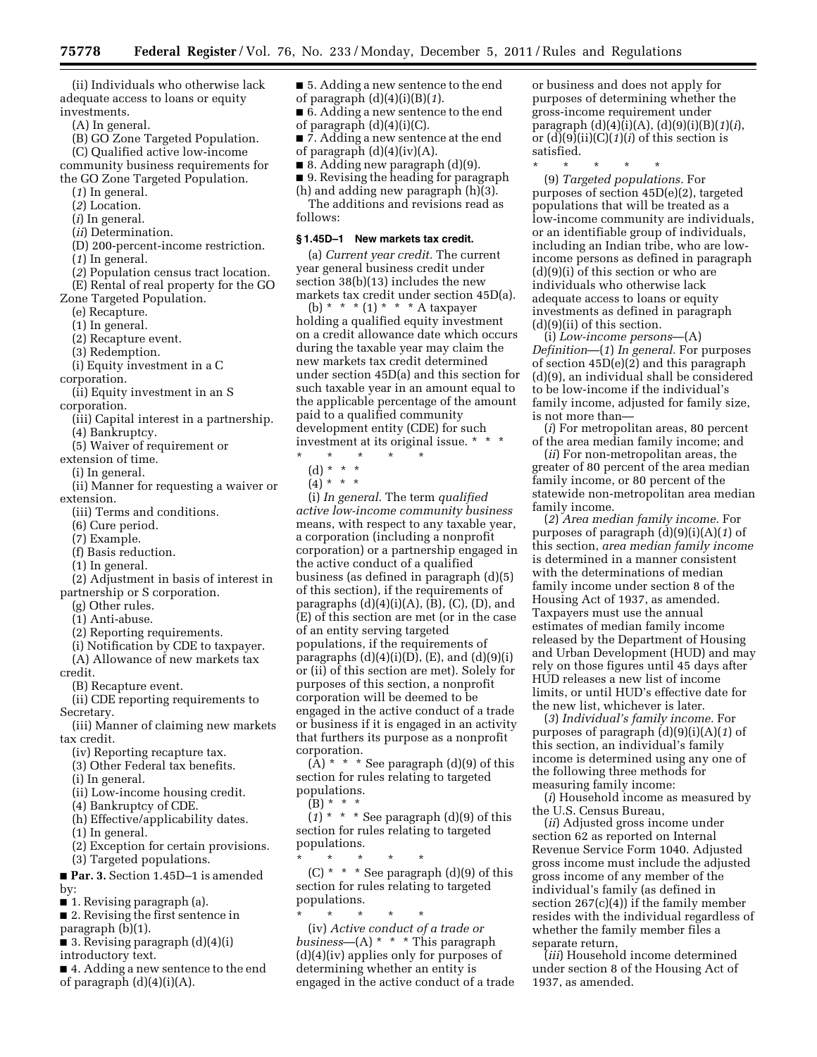(ii) Individuals who otherwise lack adequate access to loans or equity investments.

- (A) In general.
- (B) GO Zone Targeted Population.

(C) Qualified active low-income community business requirements for

the GO Zone Targeted Population. (*1*) In general.

- (*2*) Location.
- 
- (*i*) In general.
- (*ii*) Determination.
- (D) 200-percent-income restriction.
- (*1*) In general.
- (*2*) Population census tract location.
- (E) Rental of real property for the GO

Zone Targeted Population.

- (e) Recapture.
- (1) In general.
- (2) Recapture event.
- (3) Redemption.

(i) Equity investment in a C

corporation.

- (ii) Equity investment in an S corporation.
- - (iii) Capital interest in a partnership.
- (4) Bankruptcy. (5) Waiver of requirement or
- extension of time.
- (i) In general.
- (ii) Manner for requesting a waiver or extension.
- (iii) Terms and conditions.
- (6) Cure period.
- 
- (7) Example.
- (f) Basis reduction.
- (1) In general.
- (2) Adjustment in basis of interest in partnership or S corporation.
- (g) Other rules.
- (1) Anti-abuse.
- (2) Reporting requirements.
- (i) Notification by CDE to taxpayer.
- (A) Allowance of new markets tax credit.
	- (B) Recapture event.

(ii) CDE reporting requirements to Secretary.

(iii) Manner of claiming new markets tax credit.

- (iv) Reporting recapture tax.
- (3) Other Federal tax benefits.
- (i) In general.
- (ii) Low-income housing credit.
- (4) Bankruptcy of CDE.
- (h) Effective/applicability dates.
- (1) In general.
- (2) Exception for certain provisions.
- (3) Targeted populations. ■ **Par. 3.** Section 1.45D–1 is amended

by:

- 1. Revising paragraph (a).
- 2. Revising the first sentence in paragraph (b)(1).
- 3. Revising paragraph  $(d)(4)(i)$

introductory text.

■ 4. Adding a new sentence to the end of paragraph  $(d)(4)(i)(A)$ .

■ 5. Adding a new sentence to the end of paragraph (d)(4)(i)(B)(*1*).

- 6. Adding a new sentence to the end of paragraph  $(d)(4)(i)(C)$ .
- 7. Adding a new sentence at the end of paragraph  $(d)(4)(iv)(A)$ .
- $\blacksquare$  8. Adding new paragraph  $(d)(9)$ .
- 9. Revising the heading for paragraph

(h) and adding new paragraph (h)(3). The additions and revisions read as follows:

#### **§ 1.45D–1 New markets tax credit.**

(a) *Current year credit.* The current year general business credit under section 38(b)(13) includes the new markets tax credit under section 45D(a).

(b) \* \* \* (1) \* \* \* A taxpayer holding a qualified equity investment on a credit allowance date which occurs during the taxable year may claim the new markets tax credit determined under section 45D(a) and this section for such taxable year in an amount equal to the applicable percentage of the amount paid to a qualified community development entity (CDE) for such investment at its original issue. \* \* \*

- \* \* \* \* \*
- (d) \* \* \*
- $(4) * * * *$

(i) *In general.* The term *qualified active low-income community business*  means, with respect to any taxable year, a corporation (including a nonprofit corporation) or a partnership engaged in the active conduct of a qualified business (as defined in paragraph (d)(5) of this section), if the requirements of paragraphs  $(d)(4)(i)(A)$ ,  $(B)$ ,  $(C)$ ,  $(D)$ , and (E) of this section are met (or in the case of an entity serving targeted populations, if the requirements of paragraphs  $(d)(4)(i)(D)$ ,  $(E)$ , and  $(d)(9)(i)$ or (ii) of this section are met). Solely for purposes of this section, a nonprofit corporation will be deemed to be engaged in the active conduct of a trade or business if it is engaged in an activity that furthers its purpose as a nonprofit corporation.

 $(A)$  \* \* \* See paragraph  $(d)(9)$  of this section for rules relating to targeted populations.

 $(B) * *$ 

 $(1)$  \* \* \* See paragraph (d)(9) of this section for rules relating to targeted populations.

\* \* \* \* \*  $(C)$  \* \* \* See paragraph  $(d)(9)$  of this section for rules relating to targeted populations.

\* \* \* \* \* (iv) *Active conduct of a trade or business*—(A) \* \* \* This paragraph (d)(4)(iv) applies only for purposes of determining whether an entity is engaged in the active conduct of a trade or business and does not apply for purposes of determining whether the gross-income requirement under paragraph (d)(4)(i)(A), (d)(9)(i)(B)(*1*)(*i*), or (d)(9)(ii)(C)(*1*)(*i*) of this section is satisfied.

\* \* \* \* \*

(9) *Targeted populations.* For purposes of section 45D(e)(2), targeted populations that will be treated as a low-income community are individuals, or an identifiable group of individuals, including an Indian tribe, who are lowincome persons as defined in paragraph (d)(9)(i) of this section or who are individuals who otherwise lack adequate access to loans or equity investments as defined in paragraph  $(d)(9)(ii)$  of this section.

(i) *Low-income persons*—(A) *Definition*—(*1*) *In general.* For purposes of section 45D(e)(2) and this paragraph (d)(9), an individual shall be considered to be low-income if the individual's family income, adjusted for family size, is not more than—

(*i*) For metropolitan areas, 80 percent of the area median family income; and

(*ii*) For non-metropolitan areas, the greater of 80 percent of the area median family income, or 80 percent of the statewide non-metropolitan area median family income.

(*2*) *Area median family income.* For purposes of paragraph (d)(9)(i)(A)(*1*) of this section, *area median family income*  is determined in a manner consistent with the determinations of median family income under section 8 of the Housing Act of 1937, as amended. Taxpayers must use the annual estimates of median family income released by the Department of Housing and Urban Development (HUD) and may rely on those figures until 45 days after HUD releases a new list of income limits, or until HUD's effective date for the new list, whichever is later.

(*3*) *Individual's family income.* For purposes of paragraph (d)(9)(i)(A)(*1*) of this section, an individual's family income is determined using any one of the following three methods for measuring family income:

(*i*) Household income as measured by the U.S. Census Bureau,

(*ii*) Adjusted gross income under section 62 as reported on Internal Revenue Service Form 1040. Adjusted gross income must include the adjusted gross income of any member of the individual's family (as defined in section 267(c)(4)) if the family member resides with the individual regardless of whether the family member files a separate return,

(*iii*) Household income determined under section 8 of the Housing Act of 1937, as amended.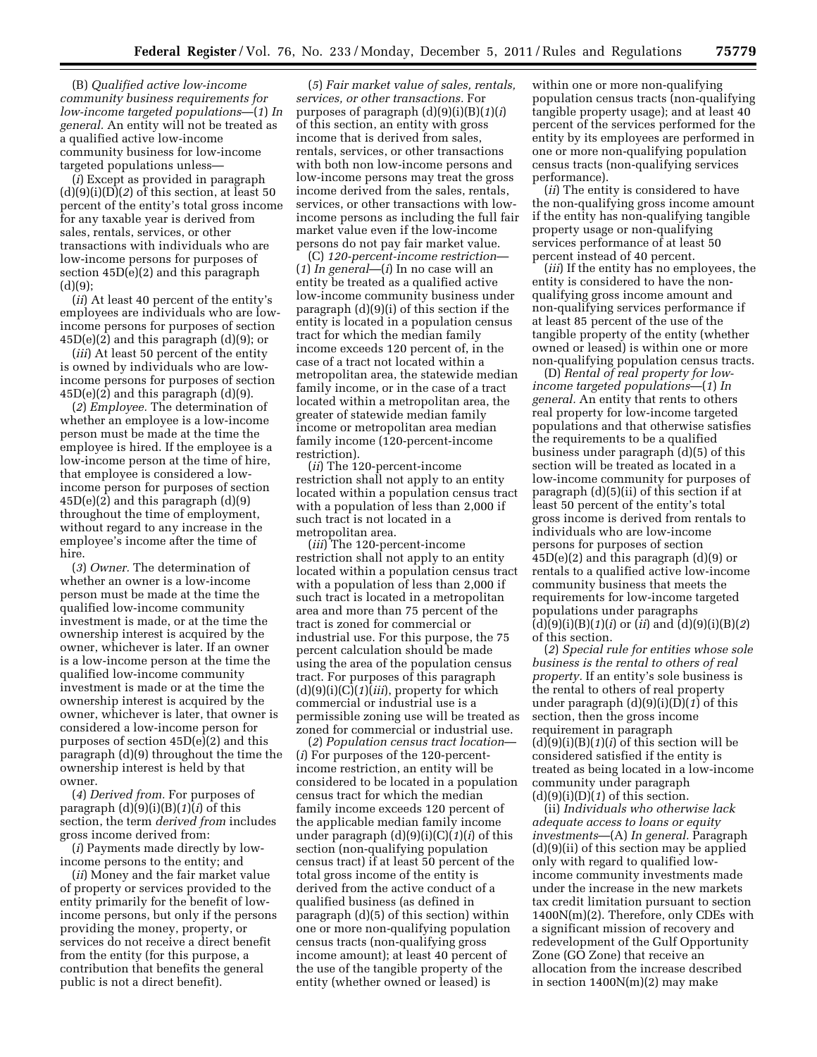(B) *Qualified active low-income community business requirements for low-income targeted populations*—(*1*) *In general.* An entity will not be treated as a qualified active low-income community business for low-income targeted populations unless—

(*i*) Except as provided in paragraph  $(d)(9)(i)(D)(2)$  of this section, at least 50 percent of the entity's total gross income for any taxable year is derived from sales, rentals, services, or other transactions with individuals who are low-income persons for purposes of section 45D(e)(2) and this paragraph  $(d)(9)$ ;

(*ii*) At least 40 percent of the entity's employees are individuals who are lowincome persons for purposes of section  $45D(e)(2)$  and this paragraph  $(d)(9)$ ; or

(*iii*) At least 50 percent of the entity is owned by individuals who are lowincome persons for purposes of section  $45D(e)(2)$  and this paragraph  $(d)(9)$ .

(*2*) *Employee.* The determination of whether an employee is a low-income person must be made at the time the employee is hired. If the employee is a low-income person at the time of hire, that employee is considered a lowincome person for purposes of section  $45D(e)(2)$  and this paragraph  $(d)(9)$ throughout the time of employment, without regard to any increase in the employee's income after the time of hire.

(*3*) *Owner.* The determination of whether an owner is a low-income person must be made at the time the qualified low-income community investment is made, or at the time the ownership interest is acquired by the owner, whichever is later. If an owner is a low-income person at the time the qualified low-income community investment is made or at the time the ownership interest is acquired by the owner, whichever is later, that owner is considered a low-income person for purposes of section 45D(e)(2) and this paragraph (d)(9) throughout the time the ownership interest is held by that owner.

(*4*) *Derived from.* For purposes of paragraph (d)(9)(i)(B)(*1*)(*i*) of this section, the term *derived from* includes gross income derived from:

(*i*) Payments made directly by lowincome persons to the entity; and

(*ii*) Money and the fair market value of property or services provided to the entity primarily for the benefit of lowincome persons, but only if the persons providing the money, property, or services do not receive a direct benefit from the entity (for this purpose, a contribution that benefits the general public is not a direct benefit).

(*5*) *Fair market value of sales, rentals, services, or other transactions.* For purposes of paragraph (d)(9)(i)(B)(*1*)(*i*) of this section, an entity with gross income that is derived from sales, rentals, services, or other transactions with both non low-income persons and low-income persons may treat the gross income derived from the sales, rentals, services, or other transactions with lowincome persons as including the full fair market value even if the low-income persons do not pay fair market value.

(C) *120-percent-income restriction*— (*1*) *In general*—(*i*) In no case will an entity be treated as a qualified active low-income community business under paragraph (d)(9)(i) of this section if the entity is located in a population census tract for which the median family income exceeds 120 percent of, in the case of a tract not located within a metropolitan area, the statewide median family income, or in the case of a tract located within a metropolitan area, the greater of statewide median family income or metropolitan area median family income (120-percent-income restriction).

(*ii*) The 120-percent-income restriction shall not apply to an entity located within a population census tract with a population of less than 2,000 if such tract is not located in a metropolitan area.

(*iii*) The 120-percent-income restriction shall not apply to an entity located within a population census tract with a population of less than 2,000 if such tract is located in a metropolitan area and more than 75 percent of the tract is zoned for commercial or industrial use. For this purpose, the 75 percent calculation should be made using the area of the population census tract. For purposes of this paragraph (d)(9)(i)(C)(*1*)(*iii*), property for which commercial or industrial use is a permissible zoning use will be treated as zoned for commercial or industrial use.

(*2*) *Population census tract location*— (*i*) For purposes of the 120-percentincome restriction, an entity will be considered to be located in a population census tract for which the median family income exceeds 120 percent of the applicable median family income under paragraph (d)(9)(i)(C)(*1*)(*i*) of this section (non-qualifying population census tract) if at least 50 percent of the total gross income of the entity is derived from the active conduct of a qualified business (as defined in paragraph (d)(5) of this section) within one or more non-qualifying population census tracts (non-qualifying gross income amount); at least 40 percent of the use of the tangible property of the entity (whether owned or leased) is

within one or more non-qualifying population census tracts (non-qualifying tangible property usage); and at least 40 percent of the services performed for the entity by its employees are performed in one or more non-qualifying population census tracts (non-qualifying services performance).

(*ii*) The entity is considered to have the non-qualifying gross income amount if the entity has non-qualifying tangible property usage or non-qualifying services performance of at least 50 percent instead of 40 percent.

(*iii*) If the entity has no employees, the entity is considered to have the nonqualifying gross income amount and non-qualifying services performance if at least 85 percent of the use of the tangible property of the entity (whether owned or leased) is within one or more non-qualifying population census tracts.

(D) *Rental of real property for lowincome targeted populations*—(*1*) *In general.* An entity that rents to others real property for low-income targeted populations and that otherwise satisfies the requirements to be a qualified business under paragraph (d)(5) of this section will be treated as located in a low-income community for purposes of paragraph (d)(5)(ii) of this section if at least 50 percent of the entity's total gross income is derived from rentals to individuals who are low-income persons for purposes of section  $45D(e)(2)$  and this paragraph  $(d)(9)$  or rentals to a qualified active low-income community business that meets the requirements for low-income targeted populations under paragraphs (d)(9)(i)(B)(*1*)(*i*) or (*ii*) and (d)(9)(i)(B)(*2*) of this section.

(*2*) *Special rule for entities whose sole business is the rental to others of real property.* If an entity's sole business is the rental to others of real property under paragraph (d)(9)(i)(D)(*1*) of this section, then the gross income requirement in paragraph  $(d)(9)(i)(B)(1)(i)$  of this section will be considered satisfied if the entity is treated as being located in a low-income community under paragraph (d)(9)(i)(D)(*1*) of this section.

(ii) *Individuals who otherwise lack adequate access to loans or equity investments*—(A) *In general.* Paragraph  $(d)(9)(ii)$  of this section may be applied only with regard to qualified lowincome community investments made under the increase in the new markets tax credit limitation pursuant to section 1400N(m)(2). Therefore, only CDEs with a significant mission of recovery and redevelopment of the Gulf Opportunity Zone (GO Zone) that receive an allocation from the increase described in section 1400N(m)(2) may make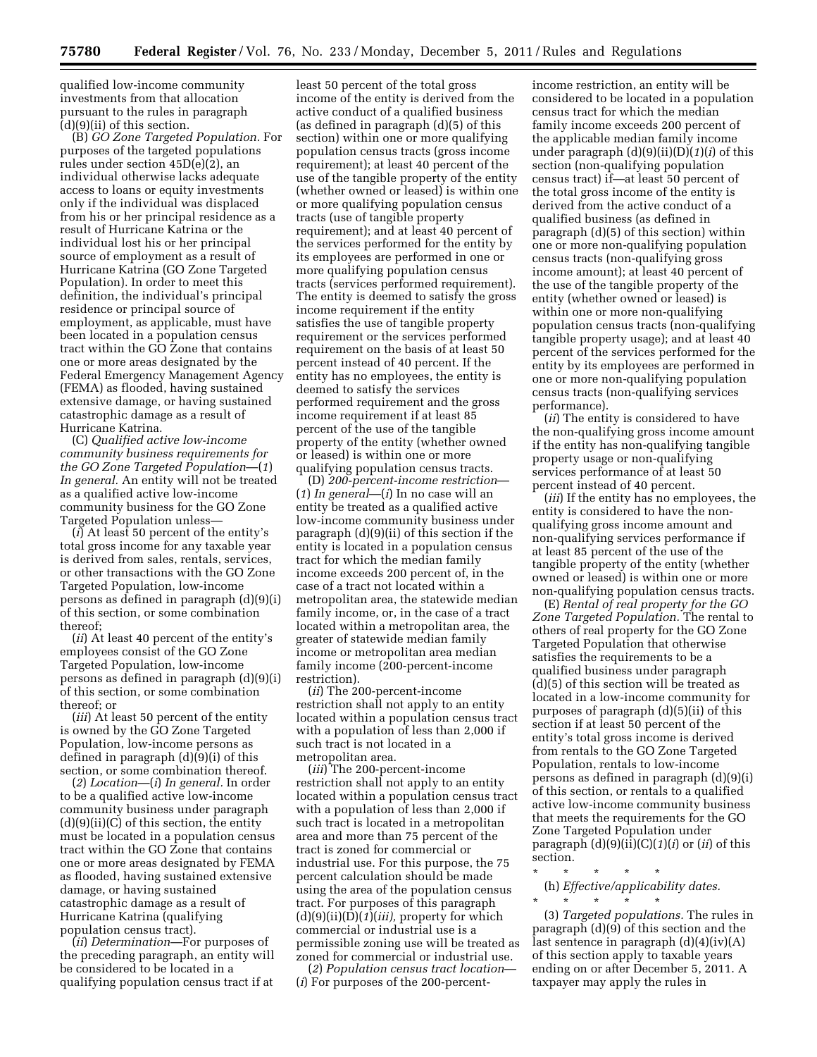qualified low-income community investments from that allocation pursuant to the rules in paragraph (d)(9)(ii) of this section.

(B) *GO Zone Targeted Population.* For purposes of the targeted populations rules under section 45D(e)(2), an individual otherwise lacks adequate access to loans or equity investments only if the individual was displaced from his or her principal residence as a result of Hurricane Katrina or the individual lost his or her principal source of employment as a result of Hurricane Katrina (GO Zone Targeted Population). In order to meet this definition, the individual's principal residence or principal source of employment, as applicable, must have been located in a population census tract within the GO Zone that contains one or more areas designated by the Federal Emergency Management Agency (FEMA) as flooded, having sustained extensive damage, or having sustained catastrophic damage as a result of Hurricane Katrina.

(C) *Qualified active low-income community business requirements for the GO Zone Targeted Population*—(*1*) *In general.* An entity will not be treated as a qualified active low-income community business for the GO Zone Targeted Population unless—

(*i*) At least 50 percent of the entity's total gross income for any taxable year is derived from sales, rentals, services, or other transactions with the GO Zone Targeted Population, low-income persons as defined in paragraph (d)(9)(i) of this section, or some combination thereof;

(*ii*) At least 40 percent of the entity's employees consist of the GO Zone Targeted Population, low-income persons as defined in paragraph (d)(9)(i) of this section, or some combination thereof; or

(*iii*) At least 50 percent of the entity is owned by the GO Zone Targeted Population, low-income persons as defined in paragraph (d)(9)(i) of this section, or some combination thereof.

(*2*) *Location*—(*i*) *In general.* In order to be a qualified active low-income community business under paragraph  $(d)(9)(ii)(C)$  of this section, the entity must be located in a population census tract within the GO Zone that contains one or more areas designated by FEMA as flooded, having sustained extensive damage, or having sustained catastrophic damage as a result of Hurricane Katrina (qualifying population census tract).

(*ii*) *Determination*—For purposes of the preceding paragraph, an entity will be considered to be located in a qualifying population census tract if at

least 50 percent of the total gross income of the entity is derived from the active conduct of a qualified business (as defined in paragraph (d)(5) of this section) within one or more qualifying population census tracts (gross income requirement); at least 40 percent of the use of the tangible property of the entity (whether owned or leased) is within one or more qualifying population census tracts (use of tangible property requirement); and at least 40 percent of the services performed for the entity by its employees are performed in one or more qualifying population census tracts (services performed requirement). The entity is deemed to satisfy the gross income requirement if the entity satisfies the use of tangible property requirement or the services performed requirement on the basis of at least 50 percent instead of 40 percent. If the entity has no employees, the entity is deemed to satisfy the services performed requirement and the gross income requirement if at least 85 percent of the use of the tangible property of the entity (whether owned or leased) is within one or more qualifying population census tracts.

(D) *200-percent-income restriction*— (*1*) *In general*—(*i*) In no case will an entity be treated as a qualified active low-income community business under paragraph (d)(9)(ii) of this section if the entity is located in a population census tract for which the median family income exceeds 200 percent of, in the case of a tract not located within a metropolitan area, the statewide median family income, or, in the case of a tract located within a metropolitan area, the greater of statewide median family income or metropolitan area median family income (200-percent-income restriction).

(*ii*) The 200-percent-income restriction shall not apply to an entity located within a population census tract with a population of less than 2,000 if such tract is not located in a metropolitan area.

(*iii*) The 200-percent-income restriction shall not apply to an entity located within a population census tract with a population of less than 2,000 if such tract is located in a metropolitan area and more than 75 percent of the tract is zoned for commercial or industrial use. For this purpose, the 75 percent calculation should be made using the area of the population census tract. For purposes of this paragraph (d)(9)(ii)(D)(*1*)(*iii),* property for which commercial or industrial use is a permissible zoning use will be treated as zoned for commercial or industrial use.

(*2*) *Population census tract location*— (*i*) For purposes of the 200-percentincome restriction, an entity will be considered to be located in a population census tract for which the median family income exceeds 200 percent of the applicable median family income under paragraph (d)(9)(ii)(D)(*1*)(*i*) of this section (non-qualifying population census tract) if—at least 50 percent of the total gross income of the entity is derived from the active conduct of a qualified business (as defined in paragraph (d)(5) of this section) within one or more non-qualifying population census tracts (non-qualifying gross income amount); at least 40 percent of the use of the tangible property of the entity (whether owned or leased) is within one or more non-qualifying population census tracts (non-qualifying tangible property usage); and at least 40 percent of the services performed for the entity by its employees are performed in one or more non-qualifying population census tracts (non-qualifying services performance).

(*ii*) The entity is considered to have the non-qualifying gross income amount if the entity has non-qualifying tangible property usage or non-qualifying services performance of at least 50 percent instead of 40 percent.

(*iii*) If the entity has no employees, the entity is considered to have the nonqualifying gross income amount and non-qualifying services performance if at least 85 percent of the use of the tangible property of the entity (whether owned or leased) is within one or more non-qualifying population census tracts.

(E) *Rental of real property for the GO Zone Targeted Population.* The rental to others of real property for the GO Zone Targeted Population that otherwise satisfies the requirements to be a qualified business under paragraph (d)(5) of this section will be treated as located in a low-income community for purposes of paragraph (d)(5)(ii) of this section if at least 50 percent of the entity's total gross income is derived from rentals to the GO Zone Targeted Population, rentals to low-income persons as defined in paragraph (d)(9)(i) of this section, or rentals to a qualified active low-income community business that meets the requirements for the GO Zone Targeted Population under paragraph  $(d)(9)(ii)(C)(1)(i)$  or  $(ii)$  of this section.

\* \* \* \* \* (h) *Effective/applicability dates.* 

\* \* \* \* \* (3) *Targeted populations.* The rules in paragraph (d)(9) of this section and the last sentence in paragraph (d)(4)(iv)(A) of this section apply to taxable years ending on or after December 5, 2011. A taxpayer may apply the rules in